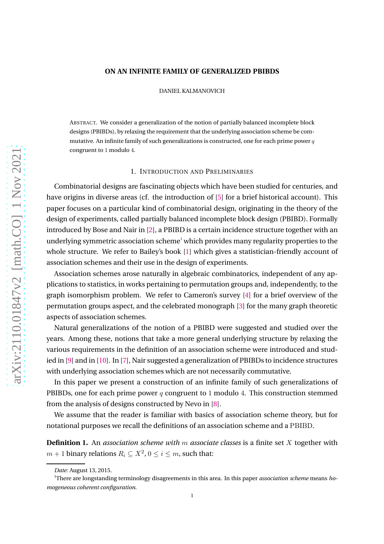#### **ON AN INFINITE FAMILY OF GENERALIZED PBIBDS**

DANIEL KALMANOVICH

ABSTRACT. We consider a generalization of the notion of partially balanced incomplete block designs (PBIBDs), by relaxing the requirement that the underlying association scheme be commutative. An infinite family of such generalizations is constructed, one for each prime power  $q$ congruent to 1 modulo 4.

### 1. INTRODUCTION AND PRELIMINARIES

Combinatorial designs are fascinating objects which have been studied for centuries, and have origins in diverse areas (cf. the introduction of [\[5\]](#page-13-0) for a brief historical account). This paper focuses on a particular kind of combinatorial design, originating in the theory of the design of experiments, called partially balanced incomplete block design (PBIBD). Formally introduced by Bose and Nair in [\[2\]](#page-13-1), a PBIBD is a certain incidence structure together with an underlying symmetric association scheme<sup>[1](#page-0-0)</sup> which provides many regularity properties to the whole structure. We refer to Bailey's book [\[1\]](#page-13-2) which gives a statistician-friendly account of association schemes and their use in the design of experiments.

Association schemes arose naturally in algebraic combinatorics, independent of any applications to statistics, in works pertaining to permutation groups and, independently, to the graph isomorphism problem. We refer to Cameron's survey [\[4\]](#page-13-3) for a brief overview of the permutation groups aspect, and the celebrated monograph [\[3\]](#page-13-4) for the many graph theoretic aspects of association schemes.

Natural generalizations of the notion of a PBIBD were suggested and studied over the years. Among these, notions that take a more general underlying structure by relaxing the various requirements in the definition of an association scheme were introduced and studied in [\[9\]](#page-13-5) and in [\[10\]](#page-13-6). In [\[7\]](#page-13-7), Nair suggested a generalization of PBIBDs to incidence structures with underlying association schemes which are not necessarily commutative.

In this paper we present a construction of an infinite family of such generalizations of PBIBDs, one for each prime power q congruent to 1 modulo 4. This construction stemmed from the analysis of designs constructed by Nevo in [\[8\]](#page-13-8).

We assume that the reader is familiar with basics of association scheme theory, but for notational purposes we recall the definitions of an association scheme and a PBIBD.

**Definition 1.** An *association scheme with* m *associate classes* is a finite set X together with  $m+1$  binary relations  $R_i\subseteq X^2$ ,  $0\leq i\leq m,$  such that:

*Date*: August 13, 2015.

<span id="page-0-0"></span><sup>1</sup>There are longstanding terminology disagreements in this area. In this paper *association scheme* means *homogeneous coherent configuration*.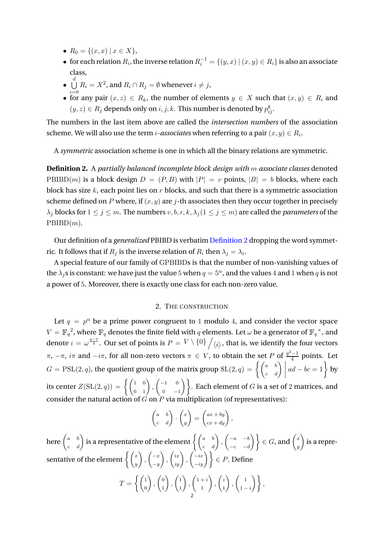- $R_0 = \{(x, x) \mid x \in X\},\$
- for each relation  $R_i$ , the inverse relation  $R_i^{-1} = \{(y, x) | (x, y) \in R_i\}$  is also an associate class,
- $\bullet$   $\bigcup$  $\stackrel{d}{\bigcup}$   $R_i = X^2$ , and  $R_i \cap R_j = \emptyset$  whenever  $i \neq j,$
- $i=0$ • for any pair  $(x, z) \in R_k$ , the number of elements  $y \in X$  such that  $(x, y) \in R_i$  and  $(y, z) \in R_j$  depends only on  $i, j, k$ . This number is denoted by  $p_{ij}^k$ .

The numbers in the last item above are called the *intersection numbers* of the association scheme. We will also use the term *i*-associates when referring to a pair  $(x,y) \in R_i.$ 

A *symmetric* association scheme is one in which all the binary relations are symmetric.

<span id="page-1-0"></span>**Definition 2.** A *partially balanced incomplete block design with* m *associate classes* denoted PBIBD(*m*) is a block design  $D = (P, B)$  with  $|P| = v$  points,  $|B| = b$  blocks, where each block has size  $k$ , each point lies on  $r$  blocks, and such that there is a symmetric association scheme defined on  $P$  where, if  $(x, y)$  are  $j$ -th associates then they occur together in precisely  $\lambda_j$  blocks for  $1 \leq j \leq m$ . The numbers  $v, b, r, k, \lambda_j (1 \leq j \leq m)$  are called the *parameters* of the  $PBIBD(m)$ .

Our definition of a *generalized* PBIBD is verbatim [Definition 2](#page-1-0) dropping the word symmetric. It follows that if  $R_j$  is the inverse relation of  $R_i$  then  $\lambda_j = \lambda_i.$ 

A special feature of our family of GPBIBDs is that the number of non-vanishing values of the  $\lambda_i$ s is constant: we have just the value 5 when  $q = 5^\alpha$ , and the values 4 and 1 when q is not a power of 5. Moreover, there is exactly one class for each non-zero value.

# 2. THE CONSTRUCTION

Let  $q = p^{\alpha}$  be a prime power congruent to 1 modulo 4, and consider the vector space  $V=\mathbb{F}_q^{-2},$  where  $\mathbb{F}_q$  denotes the finite field with  $q$  elements. Let  $\omega$  be a generator of  $\mathbb{F}_q^{\times}$ , and denote  $i=\omega^{\frac{q-1}{4}}.$  Our set of points is  $P=V\setminus\{0\}\left/\langle i\rangle,$  that is, we identify the four vectors π,  $-π$ , *iπ* and  $-iπ$ , for all non-zero vectors  $π ∈ V$ , to obtain the set P of  $\frac{q^2-1}{4}$  points. Let  $G = \text{PSL}(2, q)$ , the quotient group of the matrix group  $\text{SL}(2, q) = \left\{ \begin{pmatrix} a & b \\ c & d \end{pmatrix} \mid a \right\}$  $ad - bc = 1$  by its center  $Z(\operatorname{SL}(2,q)) = \left\{ \left( \begin{matrix} 1 & 0 \ 0 & 1 \end{matrix} \right), \left( \begin{matrix} -1 & 0 \ 0 & - \end{matrix} \right) \right\}$  $\begin{pmatrix} 0 & 0 \ 0 & -1 \end{pmatrix}$ . Each element of  $G$  is a set of 2 matrices, and consider the natural action of  $\hat{G}$  on  $\hat{P}$  via multiplication (of representatives):

$$
\begin{pmatrix} a & b \\ c & d \end{pmatrix} \cdot \begin{pmatrix} x \\ y \end{pmatrix} = \begin{pmatrix} ax + by \\ cx + dy \end{pmatrix},
$$

here  $\begin{pmatrix} a & b \ c & d \end{pmatrix}$  is a representative of the element  $\left\{\begin{pmatrix} a & b \ c & d \end{pmatrix}, \begin{pmatrix} -a & -b \ -c & -d \end{pmatrix}\right\}$  $\left.\begin{pmatrix} -a & -b \ -c & -d \end{pmatrix}\right\} \in G$ , and  $\left(\begin{matrix} x \ y \end{matrix}\right)$  $\overline{y}$  is a representative of the element  $\biggl\{ \biggl(\begin{smallmatrix} x\ y\end{smallmatrix}\biggr)$  $\bigg)$ ,  $\bigg( \begin{array}{c} -x \\ -x \end{array} \bigg)$  $-y$  $\bigg\rbrace\,,\left(\begin{matrix}ix\iy\end{matrix}\right),\left(\begin{matrix} -ix\-iy\end{matrix}\right)\bigg\rbrace\in P.$  Define  $T = \left\{ \begin{pmatrix} 1 \\ 0 \end{pmatrix} \right\}$  $\boldsymbol{0}$  $\bigg)$ ,  $\bigg( \begin{matrix} 0 \\ 1 \end{matrix} \bigg)$ 1  $\bigg)$ ,  $\bigg( \frac{1}{4} \bigg)$ 1  $\bigg)$ ,  $\bigg(1+i$ 1  $\bigg)$ ,  $\bigg( \begin{matrix} i \\ i \end{matrix} \bigg)$ 1  $\bigg)$ ,  $\bigg( \begin{array}{c} 1 \\ 1 \end{array} \bigg)$  $\left\{\begin{array}{c}1\1-i\end{array}\right\}$ 

2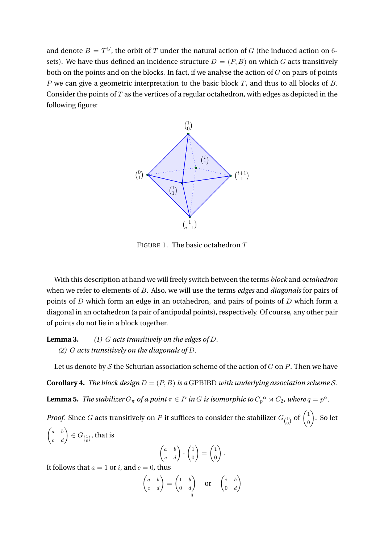and denote  $B=T^G$ , the orbit of  $T$  under the natural action of  $G$  (the induced action on  $6\text{-}$ sets). We have thus defined an incidence structure  $D = (P, B)$  on which G acts transitively both on the points and on the blocks. In fact, if we analyse the action of  $G$  on pairs of points P we can give a geometric interpretation to the basic block T, and thus to all blocks of B. Consider the points of  $T$  as the vertices of a regular octahedron, with edges as depicted in the following figure:



FIGURE 1. The basic octahedron  $T$ 

With this description at hand we will freely switch between the terms *block* and *octahedron* when we refer to elements of B. Also, we will use the terms *edges* and *diagonals* for pairs of points of D which form an edge in an octahedron, and pairs of points of D which form a diagonal in an octahedron (a pair of antipodal points), respectively. Of course, any other pair of points do not lie in a block together.

**Lemma 3.** *(1)* G *acts transitively on the edges of* D*. (2)* G *acts transitively on the diagonals of* D*.*

Let us denote by  $S$  the Schurian association scheme of the action of  $G$  on  $P$ . Then we have

<span id="page-2-0"></span>**Corollary 4.** *The block design*  $D = (P, B)$  *is a* GPBIBD *with underlying association scheme S*. **Lemma 5.** The stabilizer  $G_{\pi}$  of a point  $\pi \in P$  in G is isomorphic to  $C_p{}^{\alpha} \rtimes C_2$ , where  $q = p^{\alpha}$ .

*Proof.* Since  $G$  acts transitively on  $P$  it suffices to consider the stabilizer  $G_{1 \choose 0}$  of  $\begin{pmatrix} 1 \ 0 \ 0 \end{pmatrix}$  $\boldsymbol{0}$  . So let  $\begin{pmatrix} a & b \\ c & d \end{pmatrix} \in G_{\left(\begin{matrix} 1 \\ 0 \end{matrix}\right)}$ , that is  $\begin{pmatrix} a & b \\ c & d \end{pmatrix} \cdot \begin{pmatrix} 1 \\ 0 \end{pmatrix}$ 0  $=\begin{pmatrix} 1 \\ 0 \end{pmatrix}$ 0  $\big)$  .

It follows that  $a=1$  or  $i,$  and  $c=0,$  thus

$$
\begin{pmatrix} a & b \\ c & d \end{pmatrix} = \begin{pmatrix} 1 & b \\ 0 & d \end{pmatrix} \quad \text{or} \quad \begin{pmatrix} i & b \\ 0 & d \end{pmatrix}
$$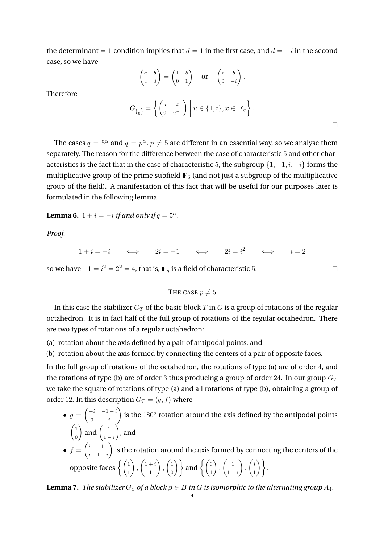the determinant = 1 condition implies that  $d = 1$  in the first case, and  $d = -i$  in the second case, so we have

$$
\begin{pmatrix} a & b \\ c & d \end{pmatrix} = \begin{pmatrix} 1 & b \\ 0 & 1 \end{pmatrix} \quad \text{or} \quad \begin{pmatrix} i & b \\ 0 & -i \end{pmatrix}.
$$

Therefore

$$
G_{\begin{pmatrix}1\\0\end{pmatrix}} = \left\{ \begin{pmatrix} u & x\\ 0 & u^{-1} \end{pmatrix} \middle| u \in \{1, i\}, x \in \mathbb{F}_q \right\}.
$$

The cases  $q = 5^{\alpha}$  and  $q = p^{\alpha}$ ,  $p \neq 5$  are different in an essential way, so we analyse them separately. The reason for the difference between the case of characteristic 5 and other characteristics is the fact that in the case of characteristic 5, the subgroup  $\{1, -1, i, -i\}$  forms the multiplicative group of the prime subfield  $\mathbb{F}_5$  (and not just a subgroup of the multiplicative group of the field). A manifestation of this fact that will be useful for our purposes later is formulated in the following lemma.

<span id="page-3-0"></span>**Lemma 6.**  $1 + i = -i$  *if and only if*  $q = 5^\alpha$ .

*Proof.*

 $1+i=-i \qquad \Longleftrightarrow \qquad 2i=-1 \qquad \Longleftrightarrow \qquad 2i=i^2 \qquad \Longleftrightarrow \qquad i=2$ 

so we have  $-1 = i^2 = 2^2 = 4$ , that is,  $\mathbb{F}_q$  is a field of characteristic 5.  $□$ 

THE CASE  $p \neq 5$ 

In this case the stabilizer  $G_T$  of the basic block T in G is a group of rotations of the regular octahedron. It is in fact half of the full group of rotations of the regular octahedron. There are two types of rotations of a regular octahedron:

(a) rotation about the axis defined by a pair of antipodal points, and

(b) rotation about the axis formed by connecting the centers of a pair of opposite faces.

In the full group of rotations of the octahedron, the rotations of type (a) are of order 4, and the rotations of type (b) are of order 3 thus producing a group of order 24. In our group  $G_T$ we take the square of rotations of type (a) and all rotations of type (b), obtaining a group of order 12. In this description  $G_T = \langle q, f \rangle$  where

- $g = \begin{pmatrix} -i & -1+i \\ 0 & i \end{pmatrix}$  $0$  *i* ) is the  $180^\circ$  rotation around the axis defined by the antipodal points  $\sqrt{1}$ 0  $\Big)$  and  $\Big( \begin{array}{c} 1 \\ 1 \end{array} \Big)$  $1 - i$  $\big)$ , and
- $\bullet$   $f = \begin{pmatrix} i & 1 \\ 1 & 1 \end{pmatrix}$  $i \quad 1-i$  $\big)$  is the rotation around the axis formed by connecting the centers of the opposite faces  $\Big\{\Big(\begin{smallmatrix} 1\ 1\end{smallmatrix}\Big)$  $\bigg)$ ,  $\bigg(1+i$ 1  $\bigg)$ ,  $\bigg( \frac{1}{2}$  $\begin{pmatrix} 1 \ 0 \end{pmatrix}$  and  $\left\{ \begin{pmatrix} 0 \ 1 \end{pmatrix} \right\}$  $\Big)$ ,  $\Big($ <sub>1</sub>  $1 - i$  $\bigg)$ ,  $\bigg( \begin{matrix} i \\ i \end{matrix} \bigg)$  $\begin{pmatrix} i \\ 1 \end{pmatrix}$ .

<span id="page-3-1"></span>**Lemma 7.** *The stabilizer*  $G_\beta$  *of a block*  $\beta \in B$  *in* G *is isomorphic to the alternating group*  $A_4$ *.*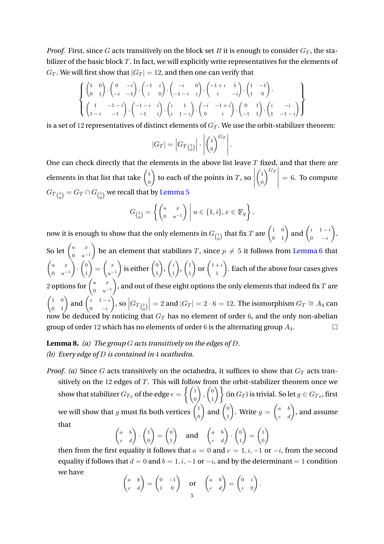*Proof.* First, since G acts transitively on the block set B it is enough to consider  $G_T$ , the stabilizer of the basic block T. In fact, we will explicitly write representatives for the elements of  $G_T$ . We will first show that  $|G_T| = 12$ , and then one can verify that

$$
\left\{\n\begin{pmatrix}\n1 & 0 \\
0 & 1\n\end{pmatrix},\n\begin{pmatrix}\n0 & -i \\
-i & -1\n\end{pmatrix},\n\begin{pmatrix}\n-1 & i \\
i & 0\n\end{pmatrix},\n\begin{pmatrix}\n-i & 0 \\
-1-i & i\n\end{pmatrix},\n\begin{pmatrix}\n-1+i & 1 \\
i & -i\n\end{pmatrix},\n\begin{pmatrix}\n1 & -1 \\
1 & 0\n\end{pmatrix},\n\begin{pmatrix}\n1 & -1-i \\
1-i & -1\n\end{pmatrix},\n\begin{pmatrix}\n-1-i & i \\
-1 & i\n\end{pmatrix},\n\begin{pmatrix}\ni & 1 \\
i & 1-i\n\end{pmatrix},\n\begin{pmatrix}\n-i & -1+i \\
0 & i\n\end{pmatrix},\n\begin{pmatrix}\n0 & 1 \\
-1 & 1\n\end{pmatrix},\n\begin{pmatrix}\ni & -i \\
1 & -1-i\n\end{pmatrix}\n\end{pmatrix}\n\right\}
$$

is a set of 12 representatives of distinct elements of  $G_T$ . We use the orbit-stabilizer theorem:

$$
|G_T| = \left| G_{T {1 \choose 0}} \right| \cdot \left| {1 \choose 0}^{G_T} \right|
$$

.

One can check directly that the elements in the above list leave  $T$  fixed, and that there are elements in that list that take  $\begin{pmatrix} 1 & 1 \\ 1 & 1 \end{pmatrix}$ 0 to each of the points in  $T$ , so  $\begin{array}{c} \hline \end{array}$  $\sqrt{1}$  $\boldsymbol{0}$  $\bigg)^{G_T} \Bigg|$  $= 6$ . To compute  $G_{T} _{\left( \begin{smallmatrix} 1 \ 0 \end{smallmatrix} \right)} = G_{T} \cap G _{\left( \begin{smallmatrix} 1 \ 0 \end{smallmatrix} \right)}$  we recall that by [Lemma 5](#page-2-0)

$$
G_{\begin{pmatrix}1\\0\end{pmatrix}} = \left\{ \begin{pmatrix} u & x\\0 & u^{-1} \end{pmatrix} \middle| u \in \{1, i\}, x \in \mathbb{F}_q \right\},\
$$

now it is enough to show that the only elements in  $G_{1\choose 0}$  that fix  $T$  are  $\begin{pmatrix} 1&0\0&1\end{pmatrix}$  and  $\begin{pmatrix} i&1-i\0&-i\end{pmatrix}$ 0  $-i$  . So let  $\begin{pmatrix} u & x \\ 0 & 1 \end{pmatrix}$  $0 \t u^{-1}$ ) be an element that stabilizes T, since  $p \neq 5$  it follows from [Lemma 6](#page-3-0) that  $\int u$  x  $0 \, u^{-1}$  $\bigg) \cdot \bigg( \begin{matrix} 0 \\ 1 \end{matrix} \bigg)$ 1  $\Big) = \left( \begin{array}{c} x \\ y \end{array} \right)$  $u^{-1}$ ) is either  $\begin{pmatrix} 0 \\ 1 \end{pmatrix}$ 1  $\bigg), \bigg( \begin{matrix} i \\ i \end{matrix} \bigg)$ 1  $\bigg), \bigg( \begin{matrix} 1 \\ 1 \end{matrix} \bigg)$ 1  $\int$  or  $\left(1+i\right)$ 1 . Each of the above four cases gives 2 options for  $\begin{pmatrix} u & x \ 0 & -u \end{pmatrix}$  $0 \quad u^{-1}$ ), and out of these eight options the only elements that indeed fix  $T$  are  $\begin{pmatrix} 1 & 0 \\ 0 & 1 \end{pmatrix}$  and  $\begin{pmatrix} i & 1-i \\ 0 & -i \end{pmatrix}$ 0  $-i$  $\bigg),$  so  $\Big| G_{T} \big|_{0}^{1 \over 2}$  $= 2$  and  $|G_T| = 2 \cdot 6 = 12$ . The isomorphism  $G_T \cong A_4$  can now be deduced by noticing that  $G_T$  has no element of order 6, and the only non-abelian group of order 12 which has no elements of order 6 is the alternating group  $A_4$ .

- **Lemma 8.** *(a) The group* G *acts transitively on the edges of* D*. (b) Every edge of* D *is contained in* 4 *ocathedra.*
- *Proof. (a)* Since G acts transitively on the octahedra, it suffices to show that  $G_T$  acts transitively on the 12 edges of  $T$ . This will follow from the orbit-stabilizer theorem once we show that stabilizer  $G_{Te}$  of the edge  $e = \begin{cases} 1 & \text{if } 0 \leq x \leq 1 \end{cases}$ 0  $\bigg)$ ,  $\bigg( \begin{matrix} 0 \\ 1 \end{matrix} \bigg)$  $\begin{pmatrix} 0 \ 1 \end{pmatrix} \bigg\}$  (in  $G_T$ ) is trivial. So let  $g \in G_{Te}$ , first we will show that g must fix both vertices  $\begin{pmatrix} 1 & 0 \\ 0 & 0 \end{pmatrix}$ 0  $\big)$  and  $\big( \begin{smallmatrix} 0 \\ 1 \end{smallmatrix} \big)$ 1 ). Write  $g=\begin{pmatrix} a & b \ c & d \end{pmatrix}$ , and assume that  $\setminus$

$$
\begin{pmatrix} a & b \\ c & d \end{pmatrix} \cdot \begin{pmatrix} 1 \\ 0 \end{pmatrix} = \begin{pmatrix} 0 \\ 1 \end{pmatrix} \text{ and } \begin{pmatrix} a & b \\ c & d \end{pmatrix} \cdot \begin{pmatrix} 0 \\ 1 \end{pmatrix} = \begin{pmatrix} 1 \\ 0 \end{pmatrix}
$$

then from the first equality it follows that  $a = 0$  and  $c = 1, i, -1$  or  $-i$ , from the second equality if follows that  $d = 0$  and  $b = 1, i, -1$  or  $-i$ , and by the determinant = 1 condition we have

.

$$
\begin{pmatrix} a & b \ c & d \end{pmatrix} = \begin{pmatrix} 0 & -1 \ 1 & 0 \end{pmatrix} \quad \text{or} \quad \begin{pmatrix} a & b \ c & d \end{pmatrix} = \begin{pmatrix} 0 & i \ i & 0 \end{pmatrix}
$$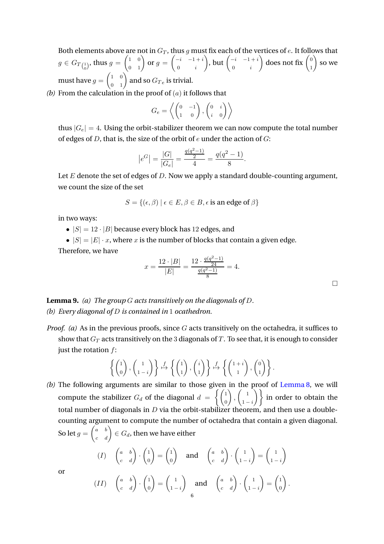Both elements above are not in  $G_T$ , thus g must fix each of the vertices of e. It follows that  $g\in G_{T\binom{1}{0}},$  thus  $g=\begin{pmatrix} 1&0\0&1 \end{pmatrix}$  or  $g=\begin{pmatrix} -i&-1+i\0&i \end{pmatrix}$  $0$  *i* ), but  $\begin{pmatrix} -i & -1+i \\ 0 & -i \end{pmatrix}$  $0$  *i* ) does not fix  $\begin{pmatrix} 0 \\ 1 \end{pmatrix}$ 1  $\big)$  so we must have  $g=\begin{pmatrix} 1&0\0&1 \end{pmatrix}$  and so  $G_{Te}$  is trivial.

*(b)* From the calculation in the proof of (a) it follows that

$$
G_e = \left\langle \begin{pmatrix} 0 & -1 \\ 1 & 0 \end{pmatrix}, \begin{pmatrix} 0 & i \\ i & 0 \end{pmatrix} \right\rangle
$$

thus  $|G_e| = 4$ . Using the orbit-stabilizer theorem we can now compute the total number of edges of  $D$ , that is, the size of the orbit of  $e$  under the action of  $G$ :

$$
|e^G| = \frac{|G|}{|G_e|} = \frac{\frac{q(q^2-1)}{2}}{4} = \frac{q(q^2-1)}{8}.
$$

Let  $E$  denote the set of edges of  $D$ . Now we apply a standard double-counting argument, we count the size of the set

$$
S = \{ (\epsilon, \beta) \mid \epsilon \in E, \beta \in B, \epsilon \text{ is an edge of } \beta \}
$$

in two ways:

- $|S| = 12 \cdot |B|$  because every block has 12 edges, and
- $|S| = |E| \cdot x$ , where x is the number of blocks that contain a given edge.

Therefore, we have

$$
x = \frac{12 \cdot |B|}{|E|} = \frac{12 \cdot \frac{q(q^2 - 1)}{24}}{\frac{q(q^2 - 1)}{8}} = 4.
$$

 $\Box$ 

**Lemma 9.** *(a) The group* G *acts transitively on the diagonals of* D*. (b) Every diagonal of* D *is contained in* 1 *ocathedron.*

*Proof. (a)* As in the previous proofs, since G acts transitively on the octahedra, it suffices to show that  $G_T$  acts transitively on the 3 diagonals of T. To see that, it is enough to consider just the rotation  $f$ :

$$
\left\{ \begin{pmatrix} 1 \\ 0 \end{pmatrix}, \begin{pmatrix} 1 \\ 1-i \end{pmatrix} \right\} \xrightarrow{f} \left\{ \begin{pmatrix} 1 \\ 1 \end{pmatrix}, \begin{pmatrix} i \\ 1 \end{pmatrix} \right\} \xrightarrow{f} \left\{ \begin{pmatrix} 1+i \\ 1 \end{pmatrix}, \begin{pmatrix} 0 \\ 1 \end{pmatrix} \right\}.
$$

*(b)* The following arguments are similar to those given in the proof of Lemma 8, we will compute the stabilizer  $G_d$  of the diagonal  $d = \begin{cases} \begin{pmatrix} 1 \\ 0 \end{pmatrix}$ 0  $\bigg)$ ,  $\bigg( \begin{array}{c} 1 \\ 1 \end{array} \bigg)$  $\begin{pmatrix} 1 \\ 1-i \end{pmatrix}$  in order to obtain the total number of diagonals in  $D$  via the orbit-stabilizer theorem, and then use a doublecounting argument to compute the number of octahedra that contain a given diagonal. So let  $g=\begin{pmatrix} a & b \ c & d \end{pmatrix} \in G_d$ , then we have either

$$
(I) \quad \begin{pmatrix} a & b \\ c & d \end{pmatrix} \cdot \begin{pmatrix} 1 \\ 0 \end{pmatrix} = \begin{pmatrix} 1 \\ 0 \end{pmatrix} \quad \text{and} \quad \begin{pmatrix} a & b \\ c & d \end{pmatrix} \cdot \begin{pmatrix} 1 \\ 1-i \end{pmatrix} = \begin{pmatrix} 1 \\ 1-i \end{pmatrix}
$$

or

$$
(II) \quad \begin{pmatrix} a & b \\ c & d \end{pmatrix} \cdot \begin{pmatrix} 1 \\ 0 \end{pmatrix} = \begin{pmatrix} 1 \\ 1-i \end{pmatrix} \quad \text{and} \quad \begin{pmatrix} a & b \\ c & d \end{pmatrix} \cdot \begin{pmatrix} 1 \\ 1-i \end{pmatrix} = \begin{pmatrix} 1 \\ 0 \end{pmatrix}.
$$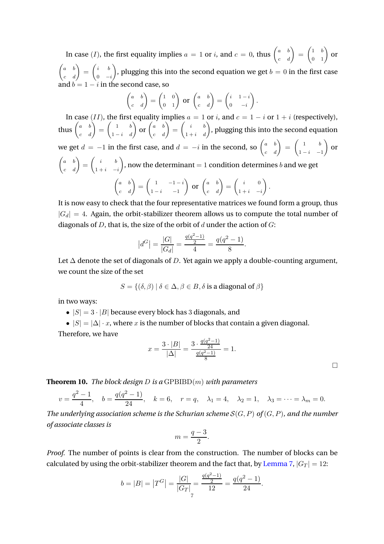In case  $(I)$ , the first equality implies  $a=1$  or  $i$ , and  $c=0$ , thus  $\begin{pmatrix} a & b \ c & d \end{pmatrix} = \begin{pmatrix} 1 & b \ 0 & 1 \end{pmatrix}$  or  $\begin{pmatrix} a & b \\ c & d \end{pmatrix} = \begin{pmatrix} i & b \\ 0 & - \end{pmatrix}$  $0 -i$ ), plugging this into the second equation we get  $b = 0$  in the first case and  $b = 1 - i$  in the second case, so

$$
\begin{pmatrix} a & b \ c & d \end{pmatrix} = \begin{pmatrix} 1 & 0 \ 0 & 1 \end{pmatrix} \text{ or } \begin{pmatrix} a & b \ c & d \end{pmatrix} = \begin{pmatrix} i & 1-i \ 0 & -i \end{pmatrix}.
$$

In case (II), the first equality implies  $a = 1$  or  $i$ , and  $c = 1 - i$  or  $1 + i$  (respectively), thus  $\begin{pmatrix} a & b \ c & d \end{pmatrix} = \begin{pmatrix} 1 & b \ 1-i & d \end{pmatrix}$  or  $\begin{pmatrix} a & b \ c & d \end{pmatrix} = \begin{pmatrix} i & b \ 1+i & d \end{pmatrix}$ , plugging this into the second equation we get  $d = -1$  in the first case, and  $d = -i$  in the second, so  $\begin{pmatrix} a & b \ c & d \end{pmatrix} = \begin{pmatrix} 1 & b \ 1-i & -1 \end{pmatrix}$  $1 - i - 1$  $\big)$  or  $\begin{pmatrix} a & b \\ c & d \end{pmatrix} = \begin{pmatrix} i & b \\ 1+i & - \end{pmatrix}$  $1+i$  −i ), now the determinant = 1 condition determines b and we get  $\begin{pmatrix} a & b \\ c & d \end{pmatrix} = \begin{pmatrix} 1 & -1-i \\ 1-i & -1 \end{pmatrix}$  $1 - i - 1$  $\left(\begin{array}{cc} a & b \\ c & d \end{array}\right) = \left(\begin{array}{cc} i & 0 \\ 1+i & - \end{array}\right)$  $1+i$  −i  $\big)$  .

It is now easy to check that the four representative matrices we found form a group, thus  $|G_d| = 4$ . Again, the orbit-stabilizer theorem allows us to compute the total number of diagonals of  $D$ , that is, the size of the orbit of  $d$  under the action of  $G$ :

$$
|d^G| = \frac{|G|}{|G_d|} = \frac{\frac{q(q^2-1)}{2}}{4} = \frac{q(q^2-1)}{8}.
$$

Let  $\Delta$  denote the set of diagonals of D. Yet again we apply a double-counting argument, we count the size of the set

$$
S = \{ (\delta, \beta) \mid \delta \in \Delta, \beta \in B, \delta \text{ is a diagonal of } \beta \}
$$

in two ways:

- $|S| = 3 \cdot |B|$  because every block has 3 diagonals, and
- $|S| = |\Delta| \cdot x$ , where x is the number of blocks that contain a given diagonal.

Therefore, we have

$$
x = \frac{3 \cdot |B|}{|\Delta|} = \frac{3 \cdot \frac{q(q^2 - 1)}{24}}{\frac{q(q^2 - 1)}{8}} = 1.
$$

 $\Box$ 

<span id="page-6-0"></span>**Theorem 10.** *The block design* D *is a* GPBIBD(m) *with parameters*

$$
v = \frac{q^2 - 1}{4}
$$
,  $b = \frac{q(q^2 - 1)}{24}$ ,  $k = 6$ ,  $r = q$ ,  $\lambda_1 = 4$ ,  $\lambda_2 = 1$ ,  $\lambda_3 = \cdots = \lambda_m = 0$ .

*The underlying association scheme is the Schurian scheme* S(G, P) *of* (G, P)*, and the number of associate classes is*

$$
m = \frac{q-3}{2}.
$$

*Proof.* The number of points is clear from the construction. The number of blocks can be calculated by using the orbit-stabilizer theorem and the fact that, by [Lemma 7,](#page-3-1)  $|G_T| = 12$ :

$$
b = |B| = |T^G| = \frac{|G|}{|G_T|} = \frac{\frac{q(q^2 - 1)}{2}}{12} = \frac{q(q^2 - 1)}{24}.
$$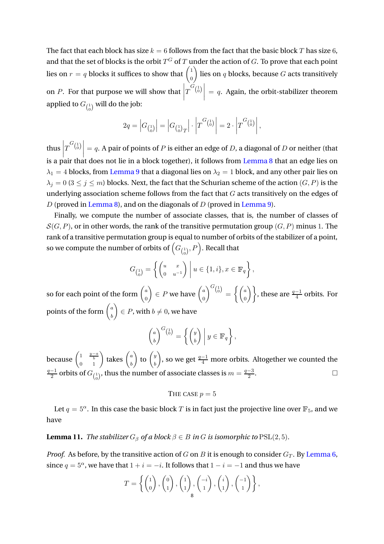The fact that each block has size  $k = 6$  follows from the fact that the basic block T has size 6, and that the set of blocks is the orbit  $T^G$  of  $T$  under the action of  $G.$  To prove that each point lies on  $r = q$  blocks it suffices to show that  $\begin{pmatrix} 1 & 0 \\ 0 & 0 \end{pmatrix}$ 0 ) lies on  $q$  blocks, because  $G$  acts transitively on *P*. For that purpose we will show that  $\left| \begin{array}{c} a & c \end{array} \right|$  $T^{G\left(\begin{bmatrix}1\\0\end{bmatrix}}\end{bmatrix}$  = q. Again, the orbit-stabilizer theorem applied to  $G_{\left(\begin{smallmatrix}1\0\end{smallmatrix}\right)}$  will do the job:

$$
2q = |G_{\binom{1}{0}}| = |G_{\binom{1}{0}}| \cdot |T^{G_{\binom{1}{0}}}| = 2 \cdot |T^{G_{\binom{1}{0}}}|,
$$

thus  $\left|T^{G\left(\delta\right)}\right|=q.$  A pair of points of P is either an edge of D, a diagonal of D or neither (that is a pair that does not lie in a block together), it follows from Lemma 8 that an edge lies on  $\lambda_1 = 4$  blocks, from Lemma 9 that a diagonal lies on  $\lambda_2 = 1$  block, and any other pair lies on  $\lambda_j = 0$  (3  $\leq$   $j \leq m$ ) blocks. Next, the fact that the Schurian scheme of the action  $(G, P)$  is the underlying association scheme follows from the fact that G acts transitively on the edges of D (proved in Lemma 8), and on the diagonals of D (proved in Lemma 9).

Finally, we compute the number of associate classes, that is, the number of classes of  $S(G, P)$ , or in other words, the rank of the transitive permutation group  $(G, P)$  minus 1. The rank of a transitive permutation group is equal to number of orbits of the stabilizer of a point, so we compute the number of orbits of  $\left(G_{\binom{1}{0}},P\right)$ . Recall that

$$
G_{\begin{pmatrix}1\\0\end{pmatrix}} = \left\{ \begin{pmatrix} u & x\\ 0 & u^{-1} \end{pmatrix} \middle| u \in \{1, i\}, x \in \mathbb{F}_q \right\},\
$$

so for each point of the form  $\begin{pmatrix} a & b \\ c & d \end{pmatrix}$  $\boldsymbol{0}$  $\Big) \in P$  we have  $\Big(\begin{matrix} a & b \\ c & d \end{matrix}\Big)$  $\boldsymbol{0}$  $\bigg\}^{G\left(\begin{smallmatrix}1\\0\end{smallmatrix}\right)}=\bigg\{\bigg(\begin{smallmatrix}a\end{smallmatrix}\bigg)$  $\begin{pmatrix} a \ 0 \end{pmatrix}$ , these are  $\frac{q-1}{4}$  orbits. For points of the form  $\begin{pmatrix} a & b \\ c & d \end{pmatrix}$ b  $\Big\}\in P$ , with  $b\neq 0$ , we have

$$
\begin{pmatrix} a \\ b \end{pmatrix}^{G\begin{pmatrix} 1 \\ 0 \end{pmatrix}} = \left\{ \begin{pmatrix} y \\ b \end{pmatrix} \middle| y \in \mathbb{F}_q \right\},\
$$

because  $\begin{pmatrix} 1 & \frac{y-a}{b} \\ 0 & 1 \end{pmatrix}$  takes  $\begin{pmatrix} a \\ b \end{pmatrix}$ b  $\bigg)$  to  $\bigg( \begin{array}{c} y \\ y \end{array} \bigg)$ b ), so we get  $\frac{q-1}{4}$  more orbits. Altogether we counted the  $q-1$  $\frac{q-1}{2}$  orbits of  $G_{\binom{1}{0}},$  thus the number of associate classes is  $m=\frac{q-3}{2}$ 2 .

THE CASE 
$$
p = 5
$$

Let  $q = 5^\alpha$ . In this case the basic block T is in fact just the projective line over  $\mathbb{F}_5$ , and we have

# <span id="page-7-0"></span>**Lemma 11.** *The stabilizer*  $G_\beta$  *of a block*  $\beta \in B$  *in* G *is isomorphic to* PSL(2, 5)*.*

*Proof.* As before, by the transitive action of G on B it is enough to consider  $G_T$ . By [Lemma 6,](#page-3-0) since  $q = 5^\alpha$ , we have that  $1 + i = -i$ . It follows that  $1 - i = -1$  and thus we have

$$
T = \left\{ \begin{pmatrix} 1 \\ 0 \end{pmatrix}, \begin{pmatrix} 0 \\ 1 \end{pmatrix}, \begin{pmatrix} 1 \\ 1 \end{pmatrix}, \begin{pmatrix} -i \\ 1 \end{pmatrix}, \begin{pmatrix} i \\ 1 \end{pmatrix}, \begin{pmatrix} -1 \\ 1 \end{pmatrix} \right\},
$$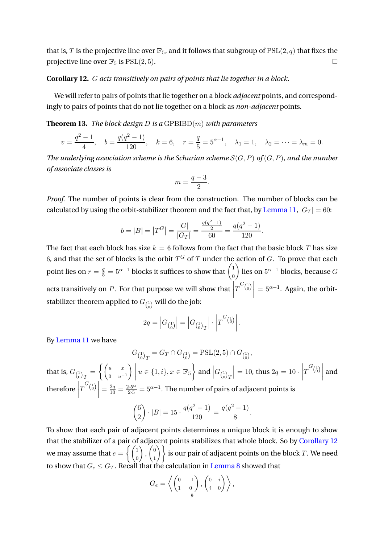that is, T is the projective line over  $\mathbb{F}_5$ , and it follows that subgroup of  $PSL(2, q)$  that fixes the projective line over  $\mathbb{F}_5$  is  $PSL(2, 5)$ .

## <span id="page-8-0"></span>**Corollary 12.** G *acts transitively on pairs of points that lie together in a block.*

We will refer to pairs of points that lie together on a block *adjacent* points, and correspondingly to pairs of points that do not lie together on a block as *non-adjacent* points.

**Theorem 13.** *The block design* D *is a* GPBIBD(m) *with parameters*

$$
v = \frac{q^2 - 1}{4}
$$
,  $b = \frac{q(q^2 - 1)}{120}$ ,  $k = 6$ ,  $r = \frac{q}{5} = 5^{\alpha - 1}$ ,  $\lambda_1 = 1$ ,  $\lambda_2 = \cdots = \lambda_m = 0$ .

*The underlying association scheme is the Schurian scheme* S(G, P) *of* (G, P)*, and the number of associate classes is*

$$
m = \frac{q-3}{2}.
$$

*Proof.* The number of points is clear from the construction. The number of blocks can be calculated by using the orbit-stabilizer theorem and the fact that, by [Lemma 11,](#page-7-0)  $|G_T| = 60$ :

$$
b = |B| = |T^G| = \frac{|G|}{|G_T|} = \frac{\frac{q(q^2 - 1)}{2}}{60} = \frac{q(q^2 - 1)}{120}.
$$

The fact that each block has size  $k = 6$  follows from the fact that the basic block T has size 6, and that the set of blocks is the orbit  $T^G$  of  $T$  under the action of  $G.$  To prove that each point lies on  $r=\frac{q}{5}=5^{\alpha-1}$  blocks it suffices to show that  $\left(\begin{smallmatrix}1\0\0\end{smallmatrix}\right)$ 0 ) lies on  $5^{\alpha-1}$  blocks, because  $G$ acts transitively on *P*. For that purpose we will show that  $\left| \right|$  $T^{G_{1\choose 0}}$  $= 5^{\alpha-1}$ . Again, the orbitstabilizer theorem applied to  $G_{\left(\begin{smallmatrix}1\0\end{smallmatrix}\right)}$  will do the job:

$$
2q = |G_{\binom{1}{0}}| = |G_{\binom{1}{0}T}| \cdot |T^{G_{\binom{1}{0}}}|.
$$

By [Lemma 11](#page-7-0) we have

$$
G_{\binom{1}{0}T} = G_T \cap G_{\binom{1}{0}} = \mathrm{PSL}(2, 5) \cap G_{\binom{1}{0}},
$$

that is,  $G_{\left(\begin{smallmatrix}1\0\end{smallmatrix}\right)_{T}}=\begin{cases} \left(\begin{smallmatrix}u&x\0&u\end{smallmatrix}\right)$  $0 \t u^{-1}$  $\Bigg) \Bigg\vert \ u\in \{1,i\}, x\in \mathbb{F}_5 \Bigg\} \textrm{ and } \Big| G_{\left(\begin{smallmatrix} 1 \\ 0 \end{smallmatrix}\right) T} \Bigg\vert$  $\begin{array}{c} \end{array}$   $= 10$ , thus  $2q = 10 \cdot$  $T^{G_{1\choose 0}}$ and therefore  $\Big|$  $T^{G}(\overset{1}{\text{o}})\bigg| = \frac{2q}{10} = \frac{2\cdot 5^\alpha}{2\cdot 5} = 5^{\alpha-1}.$  The number of pairs of adjacent points is

$$
\binom{6}{2} \cdot |B| = 15 \cdot \frac{q(q^2 - 1)}{120} = \frac{q(q^2 - 1)}{8}.
$$

To show that each pair of adjacent points determines a unique block it is enough to show that the stabilizer of a pair of adjacent points stabilizes that whole block. So by [Corollary 12](#page-8-0) we may assume that  $e = \left\{ \begin{pmatrix} 1 & 0 \\ 0 & 1 \end{pmatrix} \right\}$  $\boldsymbol{0}$  $\bigg)$ ,  $\bigg( \begin{matrix} 0 \\ 1 \end{matrix} \bigg)$  $\begin{pmatrix} 0 \ 1 \end{pmatrix} \bigg\}$  is our pair of adjacent points on the block  $T.$  We need to show that  $G_e \leq G_T$ . Recall that the calculation in Lemma 8 showed that

$$
G_e = \left\langle \begin{pmatrix} 0 & -1 \\ 1 & 0 \end{pmatrix}, \begin{pmatrix} 0 & i \\ i & 0 \end{pmatrix} \right\rangle,
$$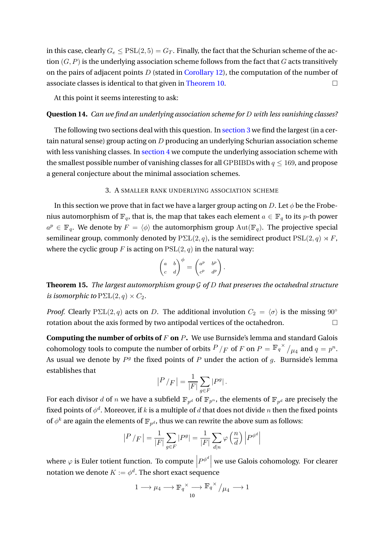in this case, clearly  $G_e \leq \text{PSL}(2, 5) = G_T$ . Finally, the fact that the Schurian scheme of the action  $(G, P)$  is the underlying association scheme follows from the fact that G acts transitively on the pairs of adjacent points  $D$  (stated in [Corollary 12\)](#page-8-0), the computation of the number of associate classes is identical to that given in [Theorem 10.](#page-6-0)

At this point it seems interesting to ask:

## **Question 14.** *Can we find an underlying association scheme for* D *with less vanishing classes?*

The following two sections deal with this question. In [section 3](#page-9-0) we find the largest (in a certain natural sense) group acting on D producing an underlying Schurian association scheme with less vanishing classes. In [section 4](#page-11-0) we compute the underlying association scheme with the smallest possible number of vanishing classes for all GPBIBDs with  $q \leq 169$ , and propose a general conjecture about the minimal association schemes.

## 3. A SMALLER RANK UNDERLYING ASSOCIATION SCHEME

<span id="page-9-0"></span>In this section we prove that in fact we have a larger group acting on D. Let  $\phi$  be the Frobenius automorphism of  $\mathbb{F}_q$ , that is, the map that takes each element  $a \in \mathbb{F}_q$  to its p-th power  $a^p \in \mathbb{F}_q$ . We denote by  $F = \langle \phi \rangle$  the automorphism group  $\text{Aut}(\mathbb{F}_q)$ . The projective special semilinear group, commonly denoted by  $P\Sigma L(2,q)$ , is the semidirect product  $PSL(2,q) \rtimes F$ , where the cyclic group F is acting on  $PSL(2, q)$  in the natural way:

$$
\begin{pmatrix} a & b \\ c & d \end{pmatrix}^{\phi} = \begin{pmatrix} a^p & b^p \\ c^p & d^p \end{pmatrix}.
$$

<span id="page-9-1"></span>**Theorem 15.** *The largest automorphism group* G *of* D *that preserves the octahedral structure is isomorphic to*  $P\Sigma L(2,q) \times C_2$ .

*Proof.* Clearly PΣL(2, q) acts on D. The additional involution  $C_2 = \langle \sigma \rangle$  is the missing 90° rotation about the axis formed by two antipodal vertices of the octahedron.

**Computing the number of orbits of** F **on** P. We use Burnside's lemma and standard Galois cohomology tools to compute the number of orbits  $P/_{F}$  of  $F$  on  $P = \mathbb{F}_q^{\times}/_{\mu_4}$  and  $q = p^n.$ As usual we denote by  $P<sup>g</sup>$  the fixed points of P under the action of g. Burnside's lemma establishes that

$$
|P / F| = \frac{1}{|F|} \sum_{g \in F} |P^g|.
$$

For each divisor  $d$  of  $n$  we have a subfield  $\mathbb{F}_{p^d}$  of  $\mathbb{F}_{p^n}.$  the elements of  $\mathbb{F}_{p^d}$  are precisely the fixed points of  $\phi^d.$  Moreover, if  $k$  is a multiple of  $d$  that does not divide  $n$  then the fixed points of  $\phi^k$  are again the elements of  $\mathbb{F}_{p^d}$ , thus we can rewrite the above sum as follows:

$$
|P / F| = \frac{1}{|F|} \sum_{g \in F} |P^g| = \frac{1}{|F|} \sum_{d|n} \varphi \left(\frac{n}{d}\right) |P^{\phi^d}|
$$

where  $\varphi$  is Euler totient function. To compute  $P^{\phi^d}\Big|$  we use Galois cohomology. For clearer notation we denote  $K:=\phi^d.$  The short exact sequence

$$
1 \longrightarrow \mu_4 \longrightarrow {\mathbb{F}_q}^{\times} \underset{10}{\longrightarrow} {\mathbb{F}_q}^{\times} / \mu_4 \longrightarrow 1
$$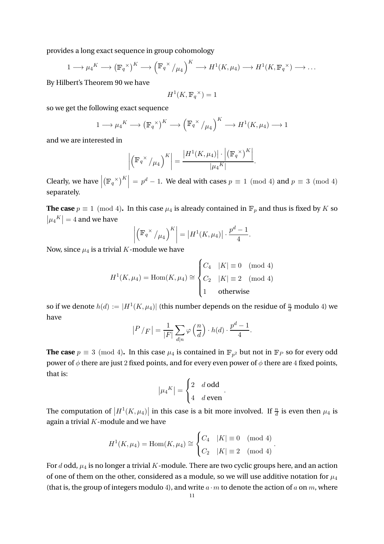provides a long exact sequence in group cohomology

$$
1 \longrightarrow \mu_4^K \longrightarrow (\mathbb{F}_q^{\times})^K \longrightarrow (\mathbb{F}_q^{\times}/\mu_4)^K \longrightarrow H^1(K, \mu_4) \longrightarrow H^1(K, \mathbb{F}_q^{\times}) \longrightarrow \dots
$$

By Hilbert's Theorem 90 we have

$$
H^1(K, \mathbb{F}_q^{\times}) = 1
$$

so we get the following exact sequence

$$
1 \longrightarrow \mu_4^K \longrightarrow (\mathbb{F}_q^{\times})^K \longrightarrow (\mathbb{F}_q^{\times}/\mu_4)^K \longrightarrow H^1(K, \mu_4) \longrightarrow 1
$$

and we are interested in

$$
\left| \left( \mathbb{F}_q^{\times} / \mu_4 \right)^K \right| = \frac{\left| H^1(K, \mu_4) \right| \cdot \left| \left( \mathbb{F}_q^{\times} \right)^K \right|}{\left| \mu_4^K \right|}.
$$

Clearly, we have  $\Big|$  $(\mathbb{F}_q^{\times})^K$  =  $p^d$  – 1. We deal with cases  $p \equiv 1 \pmod{4}$  and  $p \equiv 3 \pmod{4}$ separately.

**The case**  $p \equiv 1 \pmod{4}$ . In this case  $\mu_4$  is already contained in  $\mathbb{F}_p$  and thus is fixed by K so  $|\mu_4^K|=4$  and we have

$$
\left| \left( \mathbb{F}_q^{\times} / \mu_4 \right)^K \right| = \left| H^1(K, \mu_4) \right| \cdot \frac{p^d - 1}{4}.
$$

Now, since  $\mu_4$  is a trivial K-module we have

$$
H^{1}(K, \mu_{4}) = \text{Hom}(K, \mu_{4}) \cong \begin{cases} C_{4} & |K| \equiv 0 \pmod{4} \\ C_{2} & |K| \equiv 2 \pmod{4} \\ 1 & \text{otherwise} \end{cases}
$$

so if we denote  $h(d) := |H^1(K,\mu_4)|$  (this number depends on the residue of  $\frac{n}{d}$  modulo 4) we have

$$
|P / F| = \frac{1}{|F|} \sum_{d|n} \varphi\left(\frac{n}{d}\right) \cdot h(d) \cdot \frac{p^d - 1}{4}.
$$

**The case**  $p \equiv 3 \pmod{4}$ . In this case  $\mu_4$  is contained in  $\mathbb{F}_{p^2}$  but not in  $\mathbb{F}_P$  so for every odd power of  $\phi$  there are just 2 fixed points, and for every even power of  $\phi$  there are 4 fixed points, that is:

$$
\left|\mu_4^K\right| = \begin{cases} 2 & d \text{ odd} \\ 4 & d \text{ even} \end{cases}.
$$

The computation of  $\left|H^1(K,\mu_4)\right|$  in this case is a bit more involved. If  $\frac{n}{d}$  is even then  $\mu_4$  is again a trivial  $K$ -module and we have

$$
H^{1}(K, \mu_{4}) = \text{Hom}(K, \mu_{4}) \cong \begin{cases} C_{4} & |K| \equiv 0 \pmod{4} \\ C_{2} & |K| \equiv 2 \pmod{4} \end{cases}.
$$

For d odd,  $\mu_4$  is no longer a trivial K-module. There are two cyclic groups here, and an action of one of them on the other, considered as a module, so we will use additive notation for  $\mu_4$ (that is, the group of integers modulo 4), and write  $a \cdot m$  to denote the action of a on m, where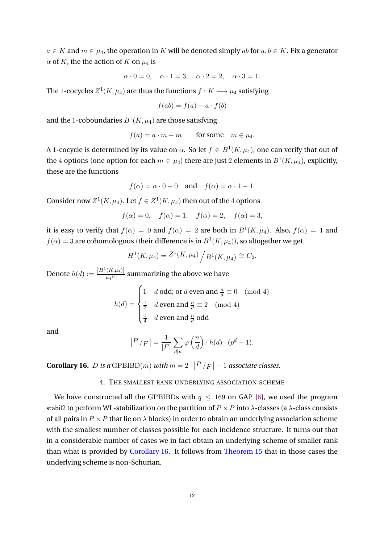$a \in K$  and  $m \in \mu_4$ , the operation in K will be denoted simply ab for  $a, b \in K$ . Fix a generator  $\alpha$  of K, the the action of K on  $\mu_4$  is

$$
\alpha \cdot 0 = 0, \quad \alpha \cdot 1 = 3, \quad \alpha \cdot 2 = 2, \quad \alpha \cdot 3 = 1.
$$

The 1-cocycles  $Z^1(K,\mu_4)$  are thus the functions  $f:K\longrightarrow \mu_4$  satisfying

$$
f(ab) = f(a) + a \cdot f(b)
$$

and the 1-coboundaries  $B^1(K,\mu_4)$  are those satisfying

$$
f(a) = a \cdot m - m \qquad \text{for some} \quad m \in \mu_4.
$$

A 1-cocycle is determined by its value on  $\alpha.$  So let  $f\in B^1(K,\mu_4),$  one can verify that out of the 4 options (one option for each  $m \in \mu_4$ ) there are just 2 elements in  $B^1(K, \mu_4)$ , explicitly, these are the functions

$$
f(\alpha) = \alpha \cdot 0 - 0
$$
 and  $f(\alpha) = \alpha \cdot 1 - 1$ .

Consider now  $Z^1(K,\mu_4)$ . Let  $f \in Z^1(K,\mu_4)$  then out of the 4 options

$$
f(\alpha) = 0
$$
,  $f(\alpha) = 1$ ,  $f(\alpha) = 2$ ,  $f(\alpha) = 3$ ,

it is easy to verify that  $f(\alpha) = 0$  and  $f(\alpha) = 2$  are both in  $B^1(K, \mu_4)$ . Also,  $f(\alpha) = 1$  and  $f(\alpha)=3$  are cohomologous (their difference is in  $B^1(K,\mu_4)$ ), so altogether we get

$$
H^{1}(K, \mu_{4}) = Z^{1}(K, \mu_{4}) / B^{1}(K, \mu_{4}) \cong C_{2}.
$$

Denote  $h(d) := \frac{|H^1(K,\mu_4)|}{|\mu_4 K|}$  $\frac{(X,\mu_4)}{|\mu_4^K|}$  summarizing the above we have

$$
h(d) = \begin{cases} 1 & d \text{ odd; or } d \text{ even and } \frac{n}{d} \equiv 0 \pmod{4} \\ \frac{1}{2} & d \text{ even and } \frac{n}{d} \equiv 2 \pmod{4} \\ \frac{1}{4} & d \text{ even and } \frac{n}{d} \text{ odd} \end{cases}
$$

and

$$
|P / F| = \frac{1}{|F|} \sum_{d|n} \varphi\left(\frac{n}{d}\right) \cdot h(d) \cdot (p^d - 1).
$$

<span id="page-11-1"></span><span id="page-11-0"></span>**Corollary 16.** *D* is a GPBIBD(*m*) with  $m = 2 \cdot |P|/F| - 1$  associate classes.

#### 4. THE SMALLEST RANK UNDERLYING ASSOCIATION SCHEME

We have constructed all the GPBIBDs with  $q \leq 169$  on GAP [\[6\]](#page-13-9), we used the program stabil2 to perform WL-stabilization on the partition of  $P \times P$  into  $\lambda$ -classes (a  $\lambda$ -class consists of all pairs in  $P \times P$  that lie on  $\lambda$  blocks) in order to obtain an underlying association scheme with the smallest number of classes possible for each incidence structure. It turns out that in a considerable number of cases we in fact obtain an underlying scheme of smaller rank than what is provided by [Corollary 16.](#page-11-1) It follows from [Theorem 15](#page-9-1) that in those cases the underlying scheme is non-Schurian.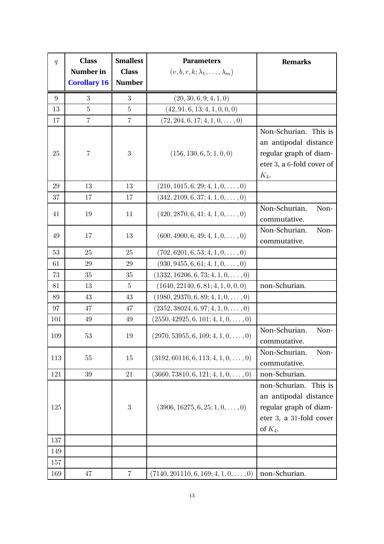| $\boldsymbol{q}$ | <b>Class</b><br>Number in<br><b>Corollary 16</b> | <b>Smallest</b><br><b>Class</b><br><b>Number</b> | <b>Parameters</b><br>$(v, b, r, k; \lambda_1, \ldots, \lambda_m)$ | <b>Remarks</b>                                                                                                       |
|------------------|--------------------------------------------------|--------------------------------------------------|-------------------------------------------------------------------|----------------------------------------------------------------------------------------------------------------------|
| 9                | $\boldsymbol{3}$                                 | $\sqrt{3}$                                       | (20, 30, 6, 9; 4, 1, 0)                                           |                                                                                                                      |
| 13               | $\overline{5}$                                   | $\bf 5$                                          | (42, 91, 6, 13; 4, 1, 0, 0, 0)                                    |                                                                                                                      |
| 17               | $\overline{7}$                                   | $\overline{7}$                                   | $(72, 204, 6, 17; 4, 1, 0, \ldots, 0)$                            |                                                                                                                      |
| 25               | 7                                                | $\boldsymbol{3}$                                 | (156, 130, 6, 5; 1, 0, 0)                                         | Non-Schurian. This is<br>an antipodal distance<br>regular graph of diam-<br>eter 3, a 6-fold cover of<br>$K_4$ .     |
| 29               | 13                                               | 13                                               | $(210, 1015, 6, 29; 4, 1, 0, \ldots, 0)$                          |                                                                                                                      |
| 37               | 17                                               | 17                                               | $(342, 2109, 6, 37; 4, 1, 0, \ldots, 0)$                          |                                                                                                                      |
| 41               | 19                                               | 11                                               | $(420, 2870, 6, 41; 4, 1, 0, \ldots, 0)$                          | Non-Schurian.<br>Non-<br>commutative.                                                                                |
| 49               | 17                                               | 13                                               | $(600, 4900, 6, 49; 4, 1, 0, \ldots, 0)$                          | Non-Schurian.<br>Non-<br>commutative.                                                                                |
| 53               | 25                                               | 25                                               | $(702, 6201, 6, 53; 4, 1, 0, \ldots, 0)$                          |                                                                                                                      |
| 61               | 29                                               | 29                                               | $(930, 9455, 6, 61; 4, 1, 0, \ldots, 0)$                          |                                                                                                                      |
| 73               | 35                                               | 35                                               | $(1332, 16206, 6, 73; 4, 1, 0, \ldots, 0)$                        |                                                                                                                      |
| 81               | 13                                               | $\overline{5}$                                   | (1640, 22140, 6, 81; 4, 1, 0, 0, 0)                               | non-Schurian.                                                                                                        |
| 89               | 43                                               | 43                                               | $(1980, 29370, 6, 89; 4, 1, 0, \ldots, 0)$                        |                                                                                                                      |
| 97               | 47                                               | 47                                               | $(2352, 38024, 6, 97; 4, 1, 0, \ldots, 0)$                        |                                                                                                                      |
| 101              | 49                                               | 49                                               | $(2550, 42925, 6, 101; 4, 1, 0, \ldots, 0)$                       |                                                                                                                      |
| 109              | 53                                               | 19                                               | $(2970, 53955, 6, 109; 4, 1, 0, \ldots, 0)$                       | Non-Schurian.<br>Non-<br>commutative.                                                                                |
| 113              | $55\,$                                           | 15                                               | $(3192, 60116, 6, 113; 4, 1, 0, \ldots, 0)$                       | Non-Schurian.<br>Non-<br>commutative.                                                                                |
| 121              | 39                                               | 21                                               | $(3660, 73810, 6, 121; 4, 1, 0, \ldots, 0)$                       | non-Schurian.                                                                                                        |
| $125\,$          |                                                  | $\boldsymbol{3}$                                 | $(3906, 16275, 6, 25; 1, 0, \ldots, 0)$                           | non-Schurian.<br>This is<br>an antipodal distance<br>regular graph of diam-<br>eter 3, a 31-fold cover<br>of $K_4$ . |
| 137              |                                                  |                                                  |                                                                   |                                                                                                                      |
| 149              |                                                  |                                                  |                                                                   |                                                                                                                      |
| 157              |                                                  |                                                  |                                                                   |                                                                                                                      |
| 169              | 47                                               | $\overline{7}$                                   | $(7140, 201110, 6, 169; 4, 1, 0, \ldots, 0)$                      | non-Schurian.                                                                                                        |